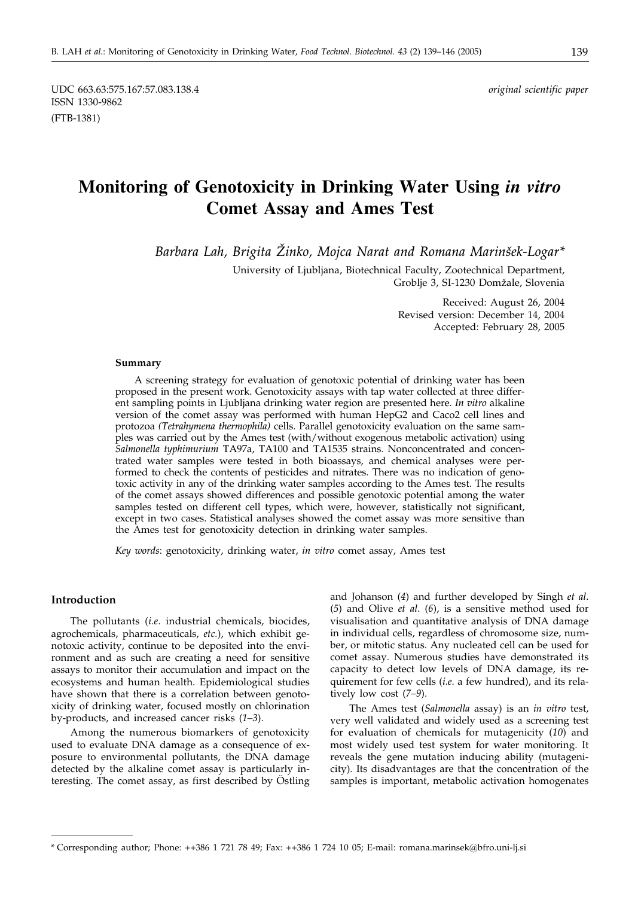# **Monitoring of Genotoxicity in Drinking Water Using** *in vitro* **Comet Assay and Ames Test**

*Barbara Lah, Brigita @inko, Mojca Narat and Romana Marin{ek-Logar\**

University of Ljubljana, Biotechnical Faculty, Zootechnical Department, Groblje 3, SI-1230 Domžale, Slovenia

> Received: August 26, 2004 Revised version: December 14, 2004 Accepted: February 28, 2005

#### **Summary**

A screening strategy for evaluation of genotoxic potential of drinking water has been proposed in the present work. Genotoxicity assays with tap water collected at three different sampling points in Ljubljana drinking water region are presented here. *In vitro* alkaline version of the comet assay was performed with human HepG2 and Caco2 cell lines and protozoa *(Tetrahymena thermophila)* cells. Parallel genotoxicity evaluation on the same samples was carried out by the Ames test (with/without exogenous metabolic activation) using *Salmonella typhimurium* TA97a, TA100 and TA1535 strains. Nonconcentrated and concentrated water samples were tested in both bioassays, and chemical analyses were performed to check the contents of pesticides and nitrates. There was no indication of genotoxic activity in any of the drinking water samples according to the Ames test. The results of the comet assays showed differences and possible genotoxic potential among the water samples tested on different cell types, which were, however, statistically not significant, except in two cases. Statistical analyses showed the comet assay was more sensitive than the Ames test for genotoxicity detection in drinking water samples.

*Key words*: genotoxicity, drinking water, *in vitro* comet assay, Ames test

#### **Introduction**

The pollutants (*i.e*. industrial chemicals, biocides, agrochemicals, pharmaceuticals, *etc.*), which exhibit genotoxic activity, continue to be deposited into the environment and as such are creating a need for sensitive assays to monitor their accumulation and impact on the ecosystems and human health. Epidemiological studies have shown that there is a correlation between genotoxicity of drinking water, focused mostly on chlorination by-products, and increased cancer risks (*1–3*).

Among the numerous biomarkers of genotoxicity used to evaluate DNA damage as a consequence of exposure to environmental pollutants, the DNA damage detected by the alkaline comet assay is particularly interesting. The comet assay, as first described by Östling

and Johanson (*4*) and further developed by Singh *et al*. (*5*) and Olive *et al*. (*6*), is a sensitive method used for visualisation and quantitative analysis of DNA damage in individual cells, regardless of chromosome size, number, or mitotic status. Any nucleated cell can be used for comet assay. Numerous studies have demonstrated its capacity to detect low levels of DNA damage, its requirement for few cells (*i.e*. a few hundred), and its relatively low cost (*7–9*).

The Ames test (*Salmonella* assay) is an *in vitro* test, very well validated and widely used as a screening test for evaluation of chemicals for mutagenicity (*10*) and most widely used test system for water monitoring. It reveals the gene mutation inducing ability (mutagenicity). Its disadvantages are that the concentration of the samples is important, metabolic activation homogenates

<sup>\*</sup> Corresponding author; Phone: ++386 1 721 78 49; Fax: ++386 1 724 10 05; E-mail: romana.marinsek@bfro.uni-lj.si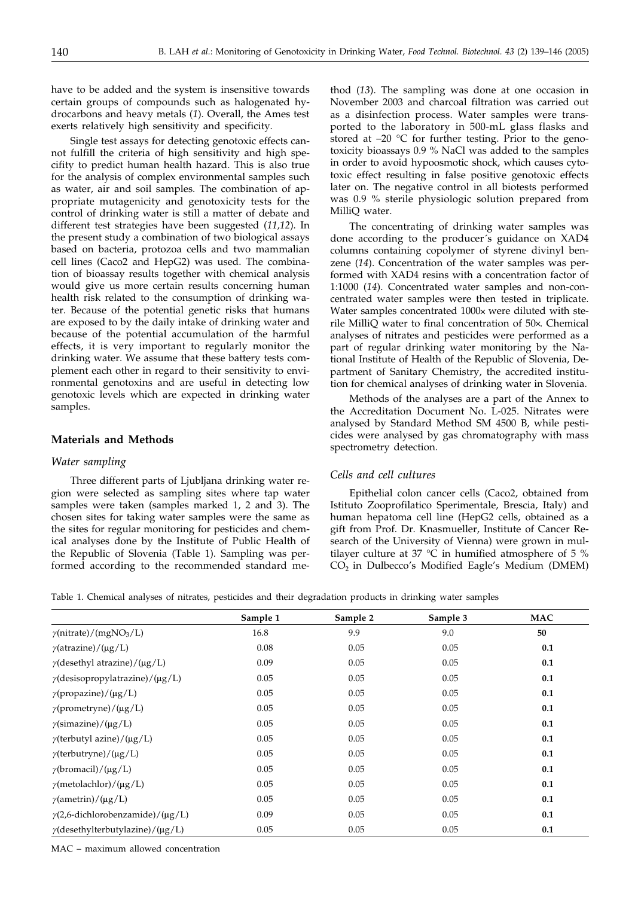have to be added and the system is insensitive towards certain groups of compounds such as halogenated hydrocarbons and heavy metals (*1*). Overall, the Ames test exerts relatively high sensitivity and specificity.

Single test assays for detecting genotoxic effects cannot fulfill the criteria of high sensitivity and high specifity to predict human health hazard. This is also true for the analysis of complex environmental samples such as water, air and soil samples. The combination of appropriate mutagenicity and genotoxicity tests for the control of drinking water is still a matter of debate and different test strategies have been suggested (*11,12*). In the present study a combination of two biological assays based on bacteria, protozoa cells and two mammalian cell lines (Caco2 and HepG2) was used. The combination of bioassay results together with chemical analysis would give us more certain results concerning human health risk related to the consumption of drinking water. Because of the potential genetic risks that humans are exposed to by the daily intake of drinking water and because of the potential accumulation of the harmful effects, it is very important to regularly monitor the drinking water. We assume that these battery tests complement each other in regard to their sensitivity to environmental genotoxins and are useful in detecting low genotoxic levels which are expected in drinking water samples.

### **Materials and Methods**

#### *Water sampling*

Three different parts of Ljubljana drinking water region were selected as sampling sites where tap water samples were taken (samples marked 1, 2 and 3). The chosen sites for taking water samples were the same as the sites for regular monitoring for pesticides and chemical analyses done by the Institute of Public Health of the Republic of Slovenia (Table 1). Sampling was performed according to the recommended standard me-

thod (*13*). The sampling was done at one occasion in November 2003 and charcoal filtration was carried out as a disinfection process. Water samples were transported to the laboratory in 500-mL glass flasks and stored at –20 °C for further testing. Prior to the genotoxicity bioassays 0.9 % NaCl was added to the samples in order to avoid hypoosmotic shock, which causes cytotoxic effect resulting in false positive genotoxic effects later on. The negative control in all biotests performed was 0.9 % sterile physiologic solution prepared from MilliQ water.

The concentrating of drinking water samples was done according to the producer´s guidance on XAD4 columns containing copolymer of styrene divinyl benzene (*14*). Concentration of the water samples was performed with XAD4 resins with a concentration factor of 1:1000 (*14*). Concentrated water samples and non-concentrated water samples were then tested in triplicate. Water samples concentrated 1000x were diluted with sterile MilliQ water to final concentration of 50x. Chemical analyses of nitrates and pesticides were performed as a part of regular drinking water monitoring by the National Institute of Health of the Republic of Slovenia, Department of Sanitary Chemistry, the accredited institution for chemical analyses of drinking water in Slovenia.

Methods of the analyses are a part of the Annex to the Accreditation Document No. L-025. Nitrates were analysed by Standard Method SM 4500 B, while pesticides were analysed by gas chromatography with mass spectrometry detection.

## *Cells and cell cultures*

Epithelial colon cancer cells (Caco2, obtained from Istituto Zooprofilatico Sperimentale, Brescia, Italy) and human hepatoma cell line (HepG2 cells, obtained as a gift from Prof. Dr. Knasmueller, Institute of Cancer Research of the University of Vienna) were grown in multilayer culture at 37 °C in humified atmosphere of 5 %  $CO<sub>2</sub>$  in Dulbecco's Modified Eagle's Medium (DMEM)

Table 1. Chemical analyses of nitrates, pesticides and their degradation products in drinking water samples

|                                              | Sample 1 | Sample 2 | Sample 3 | <b>MAC</b> |
|----------------------------------------------|----------|----------|----------|------------|
| $\gamma$ (nitrate)/(mgNO <sub>3</sub> /L)    | 16.8     | 9.9      | 9.0      | 50         |
| $\gamma$ (atrazine)/(µg/L)                   | 0.08     | 0.05     | 0.05     | 0.1        |
| $\gamma$ (desethyl atrazine)/( $\mu$ g/L)    | 0.09     | 0.05     | 0.05     | 0.1        |
| $\gamma$ (desisopropylatrazine)/( $\mu$ g/L) | 0.05     | 0.05     | 0.05     | 0.1        |
| $\gamma$ (propazine)/(µg/L)                  | 0.05     | 0.05     | 0.05     | 0.1        |
| $\gamma$ (prometryne)/(µg/L)                 | 0.05     | 0.05     | 0.05     | 0.1        |
| $\gamma$ (simazine)/( $\mu$ g/L)             | 0.05     | 0.05     | 0.05     | 0.1        |
| $\gamma$ (terbutyl azine)/(µg/L)             | 0.05     | 0.05     | 0.05     | 0.1        |
| $\gamma$ (terbutryne)/(µg/L)                 | 0.05     | 0.05     | 0.05     | 0.1        |
| $\gamma$ (bromacil)/( $\mu$ g/L)             | 0.05     | 0.05     | 0.05     | 0.1        |
| $\gamma$ (metolachlor)/(µg/L)                | 0.05     | 0.05     | 0.05     | 0.1        |
| $\gamma$ (ametrin)/( $\mu$ g/L)              | 0.05     | 0.05     | 0.05     | 0.1        |
| $\gamma$ (2,6-dichlorobenzamide)/(µg/L)      | 0.09     | 0.05     | 0.05     | 0.1        |
| $\gamma$ (desethylterbutylazine)/(µg/L)      | 0.05     | 0.05     | 0.05     | 0.1        |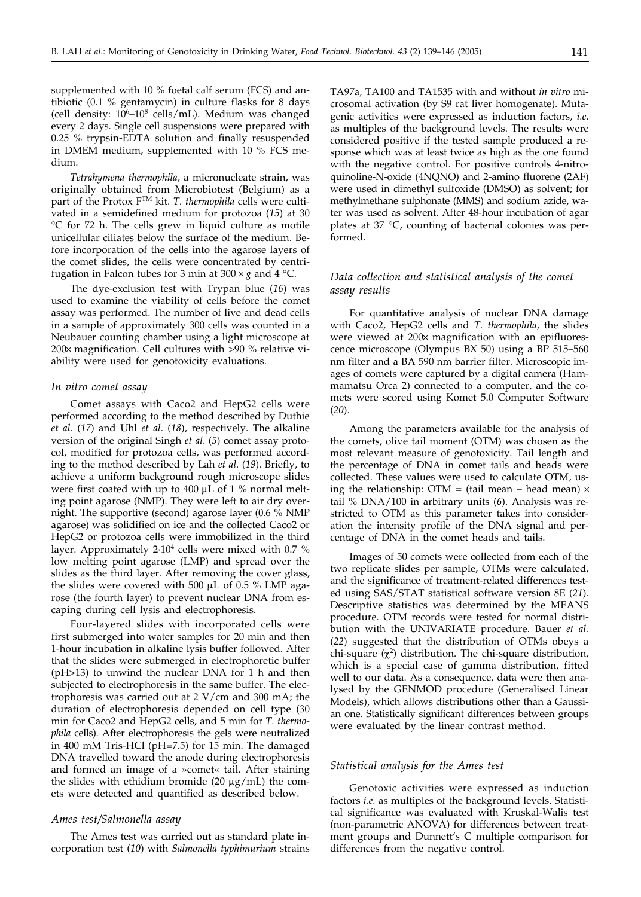supplemented with 10 % foetal calf serum (FCS) and antibiotic (0.1 % gentamycin) in culture flasks for 8 days (cell density:  $10^6 - 10^8$  cells/mL). Medium was changed every 2 days. Single cell suspensions were prepared with 0.25 % trypsin-EDTA solution and finally resuspended in DMEM medium, supplemented with 10 % FCS medium.

*Tetrahymena thermophila*, a micronucleate strain, was originally obtained from Microbiotest (Belgium) as a part of the Protox FTM kit. *T. thermophila* cells were cultivated in a semidefined medium for protozoa (*15*) at 30 °C for 72 h. The cells grew in liquid culture as motile unicellular ciliates below the surface of the medium. Before incorporation of the cells into the agarose layers of the comet slides, the cells were concentrated by centrifugation in Falcon tubes for 3 min at  $300 \times g$  and 4 °C.

The dye-exclusion test with Trypan blue (*16*) was used to examine the viability of cells before the comet assay was performed. The number of live and dead cells in a sample of approximately 300 cells was counted in a Neubauer counting chamber using a light microscope at  $200 \times$  magnification. Cell cultures with  $>90$  % relative viability were used for genotoxicity evaluations.

#### *In vitro comet assay*

Comet assays with Caco2 and HepG2 cells were performed according to the method described by Duthie *et al.* (*17*) and Uhl *et al*. (*18*), respectively. The alkaline version of the original Singh *et al*. (*5*) comet assay protocol, modified for protozoa cells, was performed according to the method described by Lah *et al*. (*19*). Briefly, to achieve a uniform background rough microscope slides were first coated with up to 400  $\mu$ L of 1 % normal melting point agarose (NMP). They were left to air dry overnight. The supportive (second) agarose layer (0.6 % NMP agarose) was solidified on ice and the collected Caco2 or HepG2 or protozoa cells were immobilized in the third layer. Approximately  $2.10<sup>4</sup>$  cells were mixed with 0.7 % low melting point agarose (LMP) and spread over the slides as the third layer. After removing the cover glass, the slides were covered with 500  $\mu$ L of 0.5 % LMP agarose (the fourth layer) to prevent nuclear DNA from escaping during cell lysis and electrophoresis.

Four-layered slides with incorporated cells were first submerged into water samples for 20 min and then 1-hour incubation in alkaline lysis buffer followed. After that the slides were submerged in electrophoretic buffer (pH>13) to unwind the nuclear DNA for 1 h and then subjected to electrophoresis in the same buffer. The electrophoresis was carried out at 2 V/cm and 300 mA; the duration of electrophoresis depended on cell type (30 min for Caco2 and HepG2 cells, and 5 min for *T. thermophila* cells). After electrophoresis the gels were neutralized in 400 mM Tris-HCl (pH=7.5) for 15 min. The damaged DNA travelled toward the anode during electrophoresis and formed an image of a »comet« tail. After staining the slides with ethidium bromide (20  $\mu$ g/mL) the comets were detected and quantified as described below.

#### *Ames test/Salmonella assay*

The Ames test was carried out as standard plate incorporation test (*10*) with *Salmonella typhimurium* strains TA97a, TA100 and TA1535 with and without *in vitro* microsomal activation (by S9 rat liver homogenate). Mutagenic activities were expressed as induction factors, *i.e*. as multiples of the background levels. The results were considered positive if the tested sample produced a response which was at least twice as high as the one found with the negative control. For positive controls 4-nitroquinoline-N-oxide (4NQNO) and 2-amino fluorene (2AF) were used in dimethyl sulfoxide (DMSO) as solvent; for methylmethane sulphonate (MMS) and sodium azide, water was used as solvent. After 48-hour incubation of agar plates at 37 °C, counting of bacterial colonies was performed.

## *Data collection and statistical analysis of the comet assay results*

For quantitative analysis of nuclear DNA damage with Caco2, HepG2 cells and *T. thermophila*, the slides were viewed at 200x magnification with an epifluorescence microscope (Olympus BX 50) using a BP 515–560 nm filter and a BA 590 nm barrier filter. Microscopic images of comets were captured by a digital camera (Hammamatsu Orca 2) connected to a computer, and the comets were scored using Komet 5.0 Computer Software (*20*).

Among the parameters available for the analysis of the comets, olive tail moment (OTM) was chosen as the most relevant measure of genotoxicity. Tail length and the percentage of DNA in comet tails and heads were collected. These values were used to calculate OTM, using the relationship: OTM = (tail mean – head mean)  $\times$ tail % DNA/100 in arbitrary units (*6*). Analysis was restricted to OTM as this parameter takes into consideration the intensity profile of the DNA signal and percentage of DNA in the comet heads and tails.

Images of 50 comets were collected from each of the two replicate slides per sample, OTMs were calculated, and the significance of treatment-related differences tested using SAS/STAT statistical software version 8E (*21*). Descriptive statistics was determined by the MEANS procedure. OTM records were tested for normal distribution with the UNIVARIATE procedure. Bauer *et al.* (*22*) suggested that the distribution of OTMs obeys a chi-square  $(\chi^2)$  distribution. The chi-square distribution, which is a special case of gamma distribution, fitted well to our data. As a consequence, data were then analysed by the GENMOD procedure (Generalised Linear Models), which allows distributions other than a Gaussian one. Statistically significant differences between groups were evaluated by the linear contrast method.

#### *Statistical analysis for the Ames test*

Genotoxic activities were expressed as induction factors *i.e.* as multiples of the background levels. Statistical significance was evaluated with Kruskal-Walis test (non-parametric ANOVA) for differences between treatment groups and Dunnett's C multiple comparison for differences from the negative control.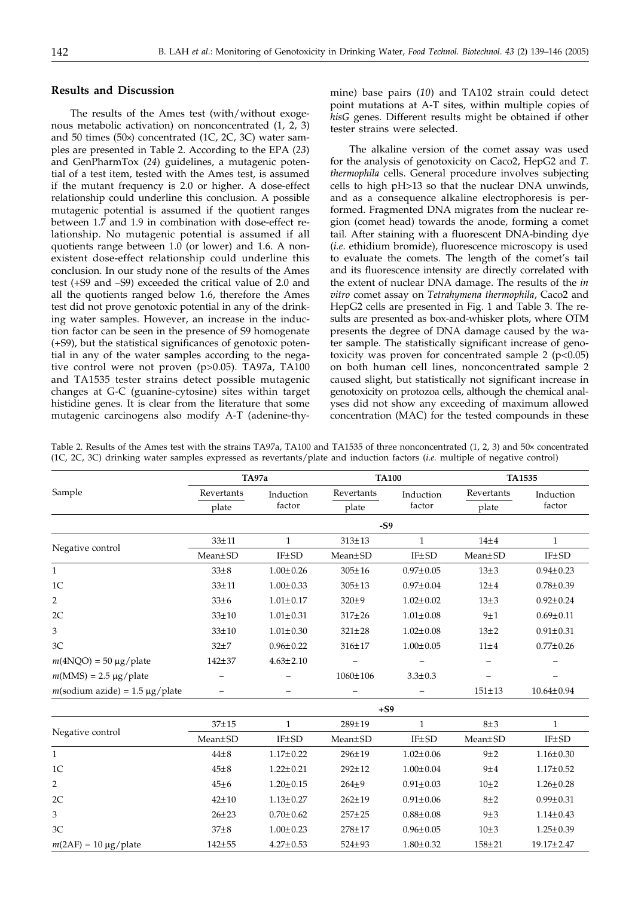## **Results and Discussion**

The results of the Ames test (with/without exogenous metabolic activation) on nonconcentrated (1, 2, 3) and 50 times (50 $\times$ ) concentrated (1C, 2C, 3C) water samples are presented in Table 2. According to the EPA (*23*) and GenPharmTox (*24*) guidelines, a mutagenic potential of a test item, tested with the Ames test, is assumed if the mutant frequency is 2.0 or higher. A dose-effect relationship could underline this conclusion. A possible mutagenic potential is assumed if the quotient ranges between 1.7 and 1.9 in combination with dose-effect relationship. No mutagenic potential is assumed if all quotients range between 1.0 (or lower) and 1.6. A nonexistent dose-effect relationship could underline this conclusion. In our study none of the results of the Ames test (+S9 and –S9) exceeded the critical value of 2.0 and all the quotients ranged below 1.6, therefore the Ames test did not prove genotoxic potential in any of the drinking water samples. However, an increase in the induction factor can be seen in the presence of S9 homogenate (+S9), but the statistical significances of genotoxic potential in any of the water samples according to the negative control were not proven (p>0.05). TA97a, TA100 and TA1535 tester strains detect possible mutagenic changes at G-C (guanine-cytosine) sites within target histidine genes. It is clear from the literature that some mutagenic carcinogens also modify A-T (adenine-thymine) base pairs (*10*) and TA102 strain could detect point mutations at A-T sites, within multiple copies of *hisG* genes. Different results might be obtained if other tester strains were selected.

The alkaline version of the comet assay was used for the analysis of genotoxicity on Caco2, HepG2 and *T. thermophila* cells. General procedure involves subjecting cells to high pH>13 so that the nuclear DNA unwinds, and as a consequence alkaline electrophoresis is performed. Fragmented DNA migrates from the nuclear region (comet head) towards the anode, forming a comet tail. After staining with a fluorescent DNA-binding dye (*i.e*. ethidium bromide), fluorescence microscopy is used to evaluate the comets. The length of the comet's tail and its fluorescence intensity are directly correlated with the extent of nuclear DNA damage. The results of the *in vitro* comet assay on *Tetrahymena thermophila*, Caco2 and HepG2 cells are presented in Fig. 1 and Table 3. The results are presented as box-and-whisker plots, where OTM presents the degree of DNA damage caused by the water sample. The statistically significant increase of genotoxicity was proven for concentrated sample  $2$  ( $p<0.05$ ) on both human cell lines, nonconcentrated sample 2 caused slight, but statistically not significant increase in genotoxicity on protozoa cells, although the chemical analyses did not show any exceeding of maximum allowed concentration (MAC) for the tested compounds in these

Table 2. Results of the Ames test with the strains TA97a, TA100 and TA1535 of three nonconcentrated  $(1, 2, 3)$  and  $50 \times$  concentrated (1C, 2C, 3C) drinking water samples expressed as revertants/plate and induction factors (*i.e.* multiple of negative control)

|                                   | TA97a               |                     | <b>TA100</b>        |                     | <b>TA1535</b>       |                     |  |
|-----------------------------------|---------------------|---------------------|---------------------|---------------------|---------------------|---------------------|--|
| Sample                            | Revertants<br>plate | Induction<br>factor | Revertants<br>plate | Induction<br>factor | Revertants<br>plate | Induction<br>factor |  |
|                                   |                     |                     |                     |                     |                     |                     |  |
|                                   |                     | -S9                 |                     |                     |                     |                     |  |
| Negative control                  | $33 \pm 11$         | 1                   | $313 \pm 13$        | $\mathbf{1}$        | $14\pm4$            | $\mathbf{1}$        |  |
|                                   | Mean+SD             | IF±SD               | $Mean \pm SD$       | IF±SD               | $Mean \pm SD$       | IF <sub>±</sub> SD  |  |
| $\mathbf{1}$                      | $33\pm8$            | $1.00 \pm 0.26$     | $305 \pm 16$        | $0.97 \pm 0.05$     | $13\pm3$            | $0.94 \pm 0.23$     |  |
| 1 <sup>C</sup>                    | $33 + 11$           | $1.00 \pm 0.33$     | $305 \pm 13$        | $0.97 \pm 0.04$     | $12\pm 4$           | $0.78 \pm 0.39$     |  |
| $\overline{2}$                    | $33\pm 6$           | $1.01 \pm 0.17$     | $320 + 9$           | $1.02 \pm 0.02$     | $13\pm3$            | $0.92 \pm 0.24$     |  |
| 2C                                | $33 \pm 10$         | $1.01 \pm 0.31$     | $317 \pm 26$        | $1.01 \pm 0.08$     | 9±1                 | $0.69 \pm 0.11$     |  |
| 3                                 | $33 \pm 10$         | $1.01 \pm 0.30$     | $321 \pm 28$        | $1.02 \pm 0.08$     | $13\pm 2$           | $0.91 \pm 0.31$     |  |
| 3C                                | $32+7$              | $0.96 \pm 0.22$     | $316 \pm 17$        | $1.00 \pm 0.05$     | $11\pm4$            | $0.77 \pm 0.26$     |  |
| $m(4NQO) = 50 \mu g$ /plate       | $142 + 37$          | $4.63 \pm 2.10$     |                     |                     |                     |                     |  |
| $m(MMS) = 2.5 \mu g / plate$      | -                   |                     | 1060±106            | $3.3 \pm 0.3$       |                     |                     |  |
| $m$ (sodium azide) = 1.5 µg/plate | -                   |                     | -                   | -                   | $151 \pm 13$        | $10.64 \pm 0.94$    |  |
|                                   | $.$ $ca$            |                     |                     |                     |                     |                     |  |

|                             | $+S9$        |                 |              |                 |            |                  |  |
|-----------------------------|--------------|-----------------|--------------|-----------------|------------|------------------|--|
| Negative control            | $37 \pm 15$  |                 | 289±19       |                 | $8\pm3$    |                  |  |
|                             | Mean±SD      | <b>IF±SD</b>    | Mean±SD      | IF±SD           | Mean±SD    | IF±SD            |  |
| $\mathbf{1}$                | $44\pm8$     | $1.17 \pm 0.22$ | $296 \pm 19$ | $1.02 \pm 0.06$ | 9±2        | $1.16 \pm 0.30$  |  |
| 1 <sup>C</sup>              | $45\pm8$     | $1.22 \pm 0.21$ | $292 \pm 12$ | $1.00 \pm 0.04$ | 9±4        | $1.17 \pm 0.52$  |  |
| $\overline{2}$              | $45\pm6$     | $1.20 \pm 0.15$ | $264+9$      | $0.91 \pm 0.03$ | $10\pm 2$  | $1.26 \pm 0.28$  |  |
| 2C                          | $42 \pm 10$  | $1.13 \pm 0.27$ | $262 \pm 19$ | $0.91 \pm 0.06$ | $8\pm 2$   | $0.99 \pm 0.31$  |  |
| 3                           | $26 \pm 23$  | $0.70 \pm 0.62$ | $257 + 25$   | $0.88 \pm 0.08$ | 9±3        | $1.14 \pm 0.43$  |  |
| 3C                          | $37\pm8$     | $1.00 \pm 0.23$ | 278±17       | $0.96 \pm 0.05$ | $10\pm3$   | $1.25 \pm 0.39$  |  |
| $m(2AF) = 10 \mu g / plate$ | $142 \pm 55$ | $4.27 \pm 0.53$ | $524 + 93$   | $1.80 \pm 0.32$ | $158 + 21$ | $19.17 \pm 2.47$ |  |
|                             |              |                 |              |                 |            |                  |  |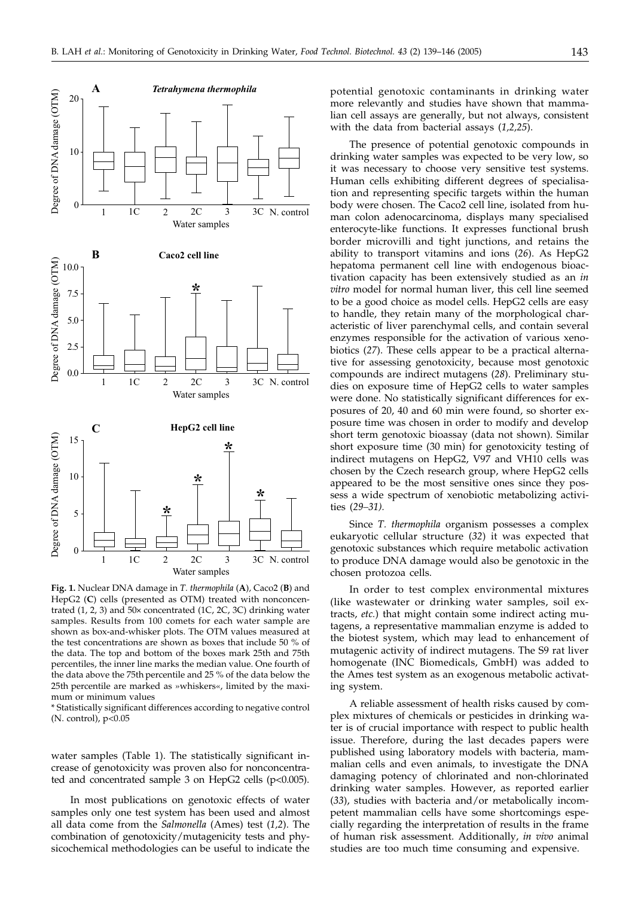

**Fig. 1.** Nuclear DNA damage in *T. thermophila* (**A**)*,* Caco2 (**B**) and HepG2 (**C**) cells (presented as OTM) treated with nonconcentrated  $(1, 2, 3)$  and  $50 \times$  concentrated  $(1C, 2C, 3C)$  drinking water samples. Results from 100 comets for each water sample are shown as box-and-whisker plots. The OTM values measured at the test concentrations are shown as boxes that include 50 % of the data. The top and bottom of the boxes mark 25th and 75th percentiles, the inner line marks the median value. One fourth of the data above the 75th percentile and 25 % of the data below the 25th percentile are marked as »whiskers«, limited by the maximum or minimum values

\* Statistically significant differences according to negative control (N. control), p<0.05

water samples (Table 1). The statistically significant increase of genotoxicity was proven also for nonconcentrated and concentrated sample 3 on HepG2 cells ( $p$ <0.005).

In most publications on genotoxic effects of water samples only one test system has been used and almost all data come from the *Salmonella* (Ames) test (*1,2*). The combination of genotoxicity/mutagenicity tests and physicochemical methodologies can be useful to indicate the potential genotoxic contaminants in drinking water more relevantly and studies have shown that mammalian cell assays are generally, but not always, consistent with the data from bacterial assays (*1,2,25*).

The presence of potential genotoxic compounds in drinking water samples was expected to be very low, so it was necessary to choose very sensitive test systems. Human cells exhibiting different degrees of specialisation and representing specific targets within the human body were chosen. The Caco2 cell line, isolated from human colon adenocarcinoma, displays many specialised enterocyte-like functions. It expresses functional brush border microvilli and tight junctions, and retains the ability to transport vitamins and ions (*26*). As HepG2 hepatoma permanent cell line with endogenous bioactivation capacity has been extensively studied as an *in vitro* model for normal human liver, this cell line seemed to be a good choice as model cells. HepG2 cells are easy to handle, they retain many of the morphological characteristic of liver parenchymal cells, and contain several enzymes responsible for the activation of various xenobiotics (*27*). These cells appear to be a practical alternative for assessing genotoxicity, because most genotoxic compounds are indirect mutagens (*28*). Preliminary studies on exposure time of HepG2 cells to water samples were done. No statistically significant differences for exposures of 20, 40 and 60 min were found, so shorter exposure time was chosen in order to modify and develop short term genotoxic bioassay (data not shown). Similar short exposure time (30 min) for genotoxicity testing of indirect mutagens on HepG2, V97 and VH10 cells was chosen by the Czech research group, where HepG2 cells appeared to be the most sensitive ones since they possess a wide spectrum of xenobiotic metabolizing activities (*29–31).*

Since *T. thermophila* organism possesses a complex eukaryotic cellular structure (*32*) it was expected that genotoxic substances which require metabolic activation to produce DNA damage would also be genotoxic in the chosen protozoa cells.

In order to test complex environmental mixtures (like wastewater or drinking water samples, soil extracts, *etc.*) that might contain some indirect acting mutagens, a representative mammalian enzyme is added to the biotest system, which may lead to enhancement of mutagenic activity of indirect mutagens. The S9 rat liver homogenate (INC Biomedicals, GmbH) was added to the Ames test system as an exogenous metabolic activating system.

A reliable assessment of health risks caused by complex mixtures of chemicals or pesticides in drinking water is of crucial importance with respect to public health issue. Therefore, during the last decades papers were published using laboratory models with bacteria, mammalian cells and even animals, to investigate the DNA damaging potency of chlorinated and non-chlorinated drinking water samples. However, as reported earlier (*33*), studies with bacteria and/or metabolically incompetent mammalian cells have some shortcomings especially regarding the interpretation of results in the frame of human risk assessment. Additionally, *in vivo* animal studies are too much time consuming and expensive.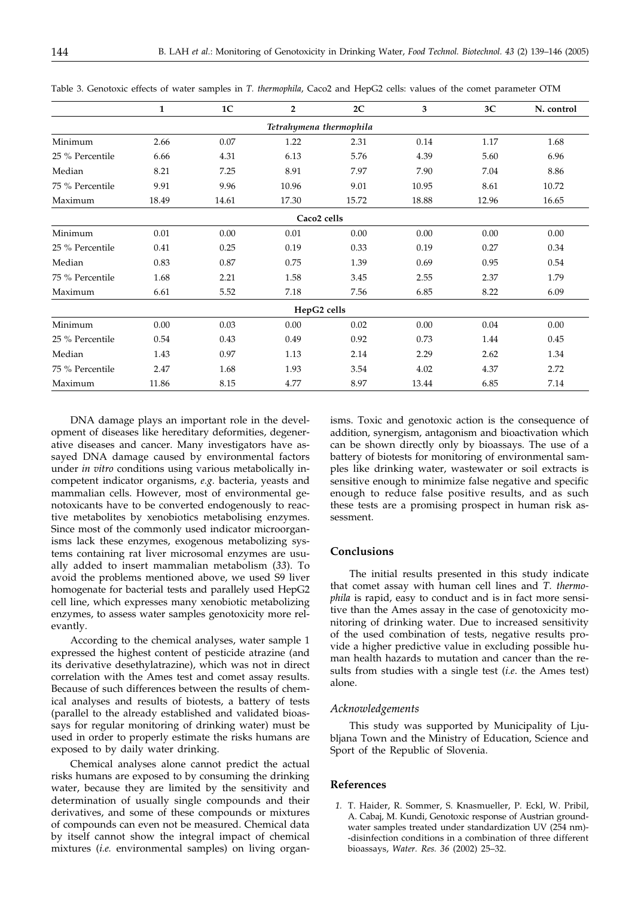|                         | 1     | 1 <sup>C</sup> | $\overline{2}$ | 2C    | 3     | 3C    | N. control |  |
|-------------------------|-------|----------------|----------------|-------|-------|-------|------------|--|
| Tetrahymena thermophila |       |                |                |       |       |       |            |  |
| Minimum                 | 2.66  | 0.07           | 1.22           | 2.31  | 0.14  | 1.17  | 1.68       |  |
| 25 % Percentile         | 6.66  | 4.31           | 6.13           | 5.76  | 4.39  | 5.60  | 6.96       |  |
| Median                  | 8.21  | 7.25           | 8.91           | 7.97  | 7.90  | 7.04  | 8.86       |  |
| 75 % Percentile         | 9.91  | 9.96           | 10.96          | 9.01  | 10.95 | 8.61  | 10.72      |  |
| Maximum                 | 18.49 | 14.61          | 17.30          | 15.72 | 18.88 | 12.96 | 16.65      |  |
| Caco <sub>2</sub> cells |       |                |                |       |       |       |            |  |
| Minimum                 | 0.01  | 0.00           | 0.01           | 0.00  | 0.00  | 0.00  | 0.00       |  |
| 25 % Percentile         | 0.41  | 0.25           | 0.19           | 0.33  | 0.19  | 0.27  | 0.34       |  |
| Median                  | 0.83  | 0.87           | 0.75           | 1.39  | 0.69  | 0.95  | 0.54       |  |
| 75 % Percentile         | 1.68  | 2.21           | 1.58           | 3.45  | 2.55  | 2.37  | 1.79       |  |
| Maximum                 | 6.61  | 5.52           | 7.18           | 7.56  | 6.85  | 8.22  | 6.09       |  |
| HepG2 cells             |       |                |                |       |       |       |            |  |
| Minimum                 | 0.00  | 0.03           | 0.00           | 0.02  | 0.00  | 0.04  | 0.00       |  |
| 25 % Percentile         | 0.54  | 0.43           | 0.49           | 0.92  | 0.73  | 1.44  | 0.45       |  |
| Median                  | 1.43  | 0.97           | 1.13           | 2.14  | 2.29  | 2.62  | 1.34       |  |
| 75 % Percentile         | 2.47  | 1.68           | 1.93           | 3.54  | 4.02  | 4.37  | 2.72       |  |
| Maximum                 | 11.86 | 8.15           | 4.77           | 8.97  | 13.44 | 6.85  | 7.14       |  |

Table 3. Genotoxic effects of water samples in *T. thermophila*, Caco2 and HepG2 cells: values of the comet parameter OTM

DNA damage plays an important role in the development of diseases like hereditary deformities, degenerative diseases and cancer. Many investigators have assayed DNA damage caused by environmental factors under *in vitro* conditions using various metabolically incompetent indicator organisms, *e.g.* bacteria, yeasts and mammalian cells. However, most of environmental genotoxicants have to be converted endogenously to reactive metabolites by xenobiotics metabolising enzymes. Since most of the commonly used indicator microorganisms lack these enzymes, exogenous metabolizing systems containing rat liver microsomal enzymes are usually added to insert mammalian metabolism (*33*). To avoid the problems mentioned above, we used S9 liver homogenate for bacterial tests and parallely used HepG2 cell line, which expresses many xenobiotic metabolizing enzymes, to assess water samples genotoxicity more relevantly.

According to the chemical analyses, water sample 1 expressed the highest content of pesticide atrazine (and its derivative desethylatrazine), which was not in direct correlation with the Ames test and comet assay results. Because of such differences between the results of chemical analyses and results of biotests, a battery of tests (parallel to the already established and validated bioassays for regular monitoring of drinking water) must be used in order to properly estimate the risks humans are exposed to by daily water drinking.

Chemical analyses alone cannot predict the actual risks humans are exposed to by consuming the drinking water, because they are limited by the sensitivity and determination of usually single compounds and their derivatives, and some of these compounds or mixtures of compounds can even not be measured. Chemical data by itself cannot show the integral impact of chemical mixtures (*i.e.* environmental samples) on living organ-

isms. Toxic and genotoxic action is the consequence of addition, synergism, antagonism and bioactivation which can be shown directly only by bioassays. The use of a battery of biotests for monitoring of environmental samples like drinking water, wastewater or soil extracts is sensitive enough to minimize false negative and specific enough to reduce false positive results, and as such these tests are a promising prospect in human risk assessment.

#### **Conclusions**

The initial results presented in this study indicate that comet assay with human cell lines and *T. thermophila* is rapid, easy to conduct and is in fact more sensitive than the Ames assay in the case of genotoxicity monitoring of drinking water. Due to increased sensitivity of the used combination of tests, negative results provide a higher predictive value in excluding possible human health hazards to mutation and cancer than the results from studies with a single test (*i.e*. the Ames test) alone.

#### *Acknowledgements*

This study was supported by Municipality of Ljubljana Town and the Ministry of Education, Science and Sport of the Republic of Slovenia.

## **References**

*1.* T. Haider, R. Sommer, S. Knasmueller, P. Eckl, W. Pribil, A. Cabaj, M. Kundi, Genotoxic response of Austrian groundwater samples treated under standardization UV (254 nm)- -disinfection conditions in a combination of three different bioassays, *Water. Res. 36* (2002) 25–32.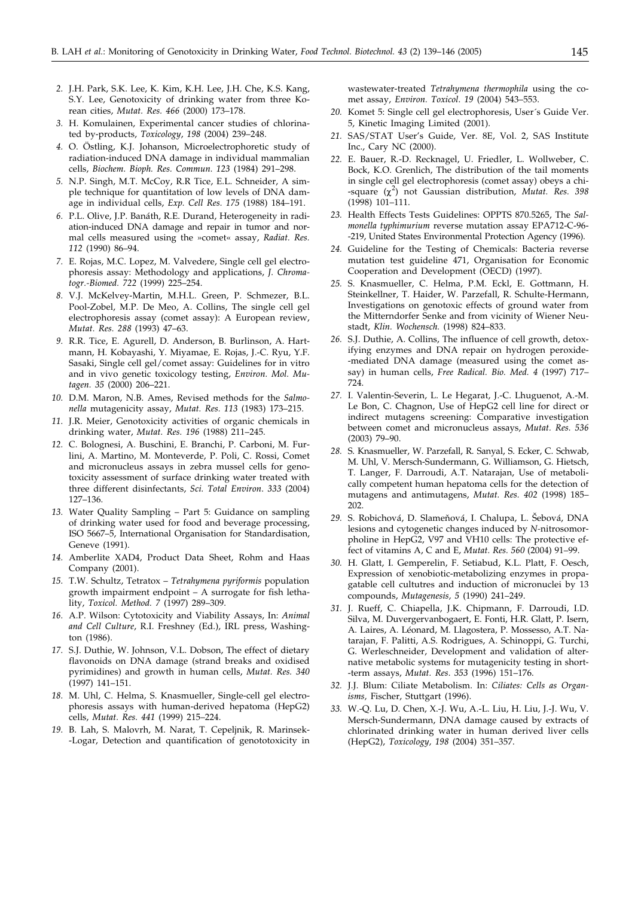- *2.* J.H. Park, S.K. Lee, K. Kim, K.H. Lee, J.H. Che, K.S. Kang, S.Y. Lee, Genotoxicity of drinking water from three Korean cities, *Mutat. Res. 466* (2000) 173–178.
- *3.* H. Komulainen, Experimental cancer studies of chlorinated by-products, *Toxicology*, *198* (2004) 239–248.
- *4.* O. Östling, K.J. Johanson, Microelectrophoretic study of radiation-induced DNA damage in individual mammalian cells, *Biochem. Bioph. Res. Commun. 123* (1984) 291–298.
- *5.* N.P. Singh, M.T. McCoy, R.R Tice, E.L. Schneider, A simple technique for quantitation of low levels of DNA damage in individual cells, *Exp. Cell Res. 175* (1988) 184–191.
- *6.* P.L. Olive, J.P. Banáth, R.E. Durand, Heterogeneity in radiation-induced DNA damage and repair in tumor and normal cells measured using the »comet« assay, *Radiat. Res. 112* (1990) 86–94.
- *7.* E. Rojas, M.C. Lopez, M. Valvedere, Single cell gel electrophoresis assay: Methodology and applications, *J. Chromatogr.-Biomed. 722* (1999) 225–254.
- *8.* V.J. McKelvey-Martin, M.H.L. Green, P. Schmezer, B.L. Pool-Zobel, M.P. De Meo, A. Collins, The single cell gel electrophoresis assay (comet assay): A European review, *Mutat. Res. 288* (1993) 47–63.
- *9.* R.R. Tice, E. Agurell, D. Anderson, B. Burlinson, A. Hartmann, H. Kobayashi, Y. Miyamae, E. Rojas, J.-C. Ryu, Y.F. Sasaki, Single cell gel/comet assay: Guidelines for in vitro and in vivo genetic toxicology testing, *Environ. Mol. Mutagen. 35* (2000) 206–221.
- *10.* D.M. Maron, N.B. Ames, Revised methods for the *Salmonella* mutagenicity assay, *Mutat. Res. 113* (1983) 173–215.
- *11.* J.R. Meier, Genotoxicity activities of organic chemicals in drinking water, *Mutat. Res. 196* (1988) 211–245.
- *12.* C. Bolognesi, A. Buschini, E. Branchi, P. Carboni, M. Furlini, A. Martino, M. Monteverde, P. Poli, C. Rossi, Comet and micronucleus assays in zebra mussel cells for genotoxicity assessment of surface drinking water treated with three different disinfectants, *Sci. Total Environ*. *333* (2004) 127–136.
- *13.* Water Quality Sampling Part 5: Guidance on sampling of drinking water used for food and beverage processing, ISO 5667–5, International Organisation for Standardisation, Geneve (1991).
- *14.* Amberlite XAD4, Product Data Sheet, Rohm and Haas Company (2001).
- *15.* T.W. Schultz, Tetratox *Tetrahymena pyriformis* population growth impairment endpoint – A surrogate for fish lethality, *Toxicol. Method. 7* (1997) 289–309.
- *16.* A.P. Wilson: Cytotoxicity and Viability Assays, In: *Animal and Cell Culture*, R.I. Freshney (Ed.), IRL press, Washington (1986).
- *17.* S.J. Duthie, W. Johnson, V.L. Dobson, The effect of dietary flavonoids on DNA damage (strand breaks and oxidised pyrimidines) and growth in human cells, *Mutat. Res. 340* (1997) 141–151.
- *18.* M. Uhl, C. Helma, S. Knasmueller, Single-cell gel electrophoresis assays with human-derived hepatoma (HepG2) cells, *Mutat. Res. 441* (1999) 215–224.
- *19.* B. Lah, S. Malovrh, M. Narat, T. Cepeljnik, R. Marinsek- -Logar, Detection and quantification of genototoxicity in

wastewater-treated *Tetrahymena thermophila* using the comet assay, *Environ. Toxicol*. *19* (2004) 543–553.

- *20.* Komet 5: Single cell gel electrophoresis, User´s Guide Ver. 5, Kinetic Imaging Limited (2001).
- *21.* SAS/STAT User's Guide, Ver. 8E, Vol. 2, SAS Institute Inc., Cary NC (2000).
- *22.* E. Bauer, R.-D. Recknagel, U. Friedler, L. Wollweber, C. Bock, K.O. Grenlich, The distribution of the tail moments in single cell gel electrophoresis (comet assay) obeys a chi-  $-\text{square}$  ( $\chi^2$ ) not Gaussian distribution, *Mutat. Res.* 398 (1998) 101–111.
- *23.* Health Effects Tests Guidelines: OPPTS 870.5265, The *Salmonella typhimurium* reverse mutation assay EPA712-C-96- -219, United States Environmental Protection Agency (1996).
- *24.* Guideline for the Testing of Chemicals: Bacteria reverse mutation test guideline 471, Organisation for Economic Cooperation and Development (OECD) (1997).
- *25.* S. Knasmueller, C. Helma, P.M. Eckl, E. Gottmann, H. Steinkellner, T. Haider, W. Parzefall, R. Schulte-Hermann, Investigations on genotoxic effects of ground water from the Mitterndorfer Senke and from vicinity of Wiener Neustadt, *Klin. Wochensch.* (1998) 824–833.
- *26.* S.J. Duthie, A. Collins, The influence of cell growth, detoxifying enzymes and DNA repair on hydrogen peroxide- -mediated DNA damage (measured using the comet assay) in human cells, *Free Radical. Bio. Med. 4* (1997) 717– 724.
- *27.* I. Valentin-Severin, L. Le Hegarat, J.-C. Lhuguenot, A.-M. Le Bon, C. Chagnon, Use of HepG2 cell line for direct or indirect mutagens screening: Comparative investigation between comet and micronucleus assays, *Mutat. Res. 536* (2003) 79–90.
- *28.* S. Knasmueller, W. Parzefall, R. Sanyal, S. Ecker, C. Schwab, M. Uhl, V. Mersch-Sundermann, G. Williamson, G. Hietsch, T. Langer, F. Darroudi, A.T. Natarajan, Use of metabolically competent human hepatoma cells for the detection of mutagens and antimutagens, *Mutat. Res. 402* (1998) 185– 202.
- 29. S. Robichová, D. Slameňová, I. Chalupa, L. Šebová, DNA lesions and cytogenetic changes induced by *N-*nitrosomorpholine in HepG2, V97 and VH10 cells: The protective effect of vitamins A, C and E, *Mutat. Res. 560* (2004) 91–99.
- *30.* H. Glatt, I. Gemperelin, F. Setiabud, K.L. Platt, F. Oesch, Expression of xenobiotic-metabolizing enzymes in propagatable cell cultutres and induction of micronuclei by 13 compounds, *Mutagenesis, 5* (1990) 241–249.
- *31.* J. Rueff, C. Chiapella, J.K. Chipmann, F. Darroudi, I.D. Silva, M. Duvergervanbogaert, E. Fonti, H.R. Glatt, P. Isern, A. Laires, A. Léonard, M. Llagostera, P. Mossesso, A.T. Natarajan, F. Palitti, A.S. Rodrigues, A. Schinoppi, G. Turchi, G. Werleschneider, Development and validation of alternative metabolic systems for mutagenicity testing in short- -term assays, *Mutat. Res*. *353* (1996) 151–176.
- *32.* J.J. Blum: Ciliate Metabolism. In: *Ciliates: Cells as Organisms,* Fischer, Stuttgart (1996).
- *33.* W.-Q. Lu, D. Chen, X.-J. Wu, A.-L. Liu, H. Liu, J.-J. Wu, V. Mersch-Sundermann, DNA damage caused by extracts of chlorinated drinking water in human derived liver cells (HepG2), *Toxicology, 198* (2004) 351–357.